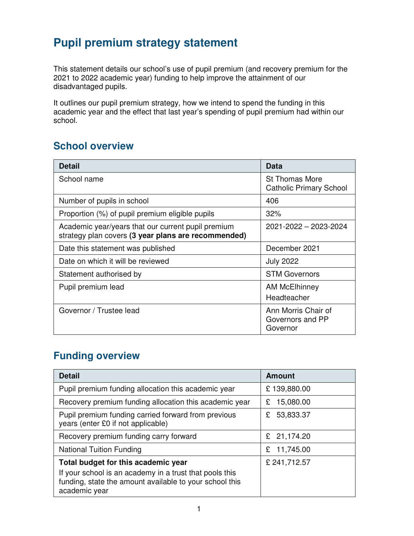# **Pupil premium strategy statement**

This statement details our school's use of pupil premium (and recovery premium for the 2021 to 2022 academic year) funding to help improve the attainment of our disadvantaged pupils.

It outlines our pupil premium strategy, how we intend to spend the funding in this academic year and the effect that last year's spending of pupil premium had within our school.

### **School overview**

| <b>Detail</b>                                                                                             | Data                                                    |
|-----------------------------------------------------------------------------------------------------------|---------------------------------------------------------|
| School name                                                                                               | <b>St Thomas More</b><br><b>Catholic Primary School</b> |
| Number of pupils in school                                                                                | 406                                                     |
| Proportion (%) of pupil premium eligible pupils                                                           | 32%                                                     |
| Academic year/years that our current pupil premium<br>strategy plan covers (3 year plans are recommended) | 2021-2022 - 2023-2024                                   |
| Date this statement was published                                                                         | December 2021                                           |
| Date on which it will be reviewed                                                                         | <b>July 2022</b>                                        |
| Statement authorised by                                                                                   | <b>STM Governors</b>                                    |
| Pupil premium lead                                                                                        | AM McElhinney                                           |
|                                                                                                           | Headteacher                                             |
| Governor / Trustee lead                                                                                   | Ann Morris Chair of<br>Governors and PP<br>Governor     |

## **Funding overview**

| <b>Detail</b>                                                                                                                                                              | <b>Amount</b>  |
|----------------------------------------------------------------------------------------------------------------------------------------------------------------------------|----------------|
| Pupil premium funding allocation this academic year                                                                                                                        | £139,880.00    |
| Recovery premium funding allocation this academic year                                                                                                                     | 15,080.00<br>£ |
| Pupil premium funding carried forward from previous<br>years (enter £0 if not applicable)                                                                                  | 53,833.37<br>£ |
| Recovery premium funding carry forward                                                                                                                                     | 21,174.20<br>£ |
| <b>National Tuition Funding</b>                                                                                                                                            | 11,745.00<br>£ |
| Total budget for this academic year<br>If your school is an academy in a trust that pools this<br>funding, state the amount available to your school this<br>academic year | £ 241,712.57   |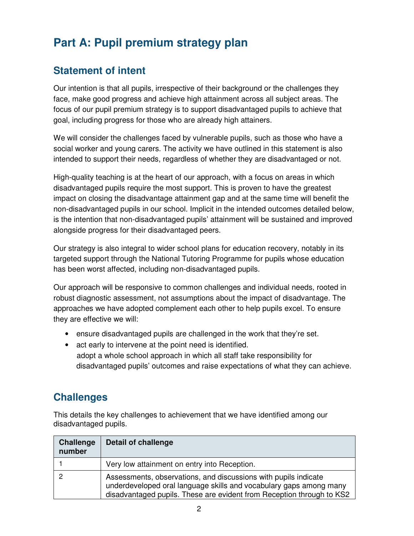# **Part A: Pupil premium strategy plan**

## **Statement of intent**

Our intention is that all pupils, irrespective of their background or the challenges they face, make good progress and achieve high attainment across all subject areas. The focus of our pupil premium strategy is to support disadvantaged pupils to achieve that goal, including progress for those who are already high attainers.

We will consider the challenges faced by vulnerable pupils, such as those who have a social worker and young carers. The activity we have outlined in this statement is also intended to support their needs, regardless of whether they are disadvantaged or not.

High-quality teaching is at the heart of our approach, with a focus on areas in which disadvantaged pupils require the most support. This is proven to have the greatest impact on closing the disadvantage attainment gap and at the same time will benefit the non-disadvantaged pupils in our school. Implicit in the intended outcomes detailed below, is the intention that non-disadvantaged pupils' attainment will be sustained and improved alongside progress for their disadvantaged peers.

Our strategy is also integral to wider school plans for education recovery, notably in its targeted support through the National Tutoring Programme for pupils whose education has been worst affected, including non-disadvantaged pupils.

Our approach will be responsive to common challenges and individual needs, rooted in robust diagnostic assessment, not assumptions about the impact of disadvantage. The approaches we have adopted complement each other to help pupils excel. To ensure they are effective we will:

- ensure disadvantaged pupils are challenged in the work that they're set.
- act early to intervene at the point need is identified. adopt a whole school approach in which all staff take responsibility for disadvantaged pupils' outcomes and raise expectations of what they can achieve.

### **Challenges**

This details the key challenges to achievement that we have identified among our disadvantaged pupils.

| <b>Challenge</b><br>number | <b>Detail of challenge</b>                                                                                                                                                                                     |
|----------------------------|----------------------------------------------------------------------------------------------------------------------------------------------------------------------------------------------------------------|
|                            | Very low attainment on entry into Reception.                                                                                                                                                                   |
|                            | Assessments, observations, and discussions with pupils indicate<br>underdeveloped oral language skills and vocabulary gaps among many<br>disadvantaged pupils. These are evident from Reception through to KS2 |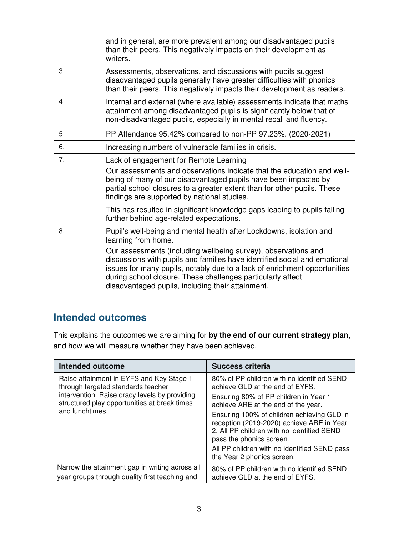|    | and in general, are more prevalent among our disadvantaged pupils<br>than their peers. This negatively impacts on their development as<br>writers.                                                                                                                                                                                           |
|----|----------------------------------------------------------------------------------------------------------------------------------------------------------------------------------------------------------------------------------------------------------------------------------------------------------------------------------------------|
| 3  | Assessments, observations, and discussions with pupils suggest<br>disadvantaged pupils generally have greater difficulties with phonics<br>than their peers. This negatively impacts their development as readers.                                                                                                                           |
| 4  | Internal and external (where available) assessments indicate that maths<br>attainment among disadvantaged pupils is significantly below that of<br>non-disadvantaged pupils, especially in mental recall and fluency.                                                                                                                        |
| 5  | PP Attendance 95.42% compared to non-PP 97.23%. (2020-2021)                                                                                                                                                                                                                                                                                  |
| 6. | Increasing numbers of vulnerable families in crisis.                                                                                                                                                                                                                                                                                         |
| 7. | Lack of engagement for Remote Learning<br>Our assessments and observations indicate that the education and well-<br>being of many of our disadvantaged pupils have been impacted by<br>partial school closures to a greater extent than for other pupils. These<br>findings are supported by national studies.                               |
|    | This has resulted in significant knowledge gaps leading to pupils falling<br>further behind age-related expectations.                                                                                                                                                                                                                        |
| 8. | Pupil's well-being and mental health after Lockdowns, isolation and<br>learning from home.                                                                                                                                                                                                                                                   |
|    | Our assessments (including wellbeing survey), observations and<br>discussions with pupils and families have identified social and emotional<br>issues for many pupils, notably due to a lack of enrichment opportunities<br>during school closure. These challenges particularly affect<br>disadvantaged pupils, including their attainment. |

### **Intended outcomes**

This explains the outcomes we are aiming for **by the end of our current strategy plan**, and how we will measure whether they have been achieved.

| <b>Intended outcome</b>                                                                                                                                                                            | Success criteria                                                                                                                                                                                                                                                                                                                                                                                                 |
|----------------------------------------------------------------------------------------------------------------------------------------------------------------------------------------------------|------------------------------------------------------------------------------------------------------------------------------------------------------------------------------------------------------------------------------------------------------------------------------------------------------------------------------------------------------------------------------------------------------------------|
| Raise attainment in EYFS and Key Stage 1<br>through targeted standards teacher<br>intervention. Raise oracy levels by providing<br>structured play opportunities at break times<br>and lunchtimes. | 80% of PP children with no identified SEND<br>achieve GLD at the end of EYFS.<br>Ensuring 80% of PP children in Year 1<br>achieve ARE at the end of the year.<br>Ensuring 100% of children achieving GLD in<br>reception (2019-2020) achieve ARE in Year<br>2. All PP children with no identified SEND<br>pass the phonics screen.<br>All PP children with no identified SEND pass<br>the Year 2 phonics screen. |
| Narrow the attainment gap in writing across all<br>year groups through quality first teaching and                                                                                                  | 80% of PP children with no identified SEND<br>achieve GLD at the end of EYFS.                                                                                                                                                                                                                                                                                                                                    |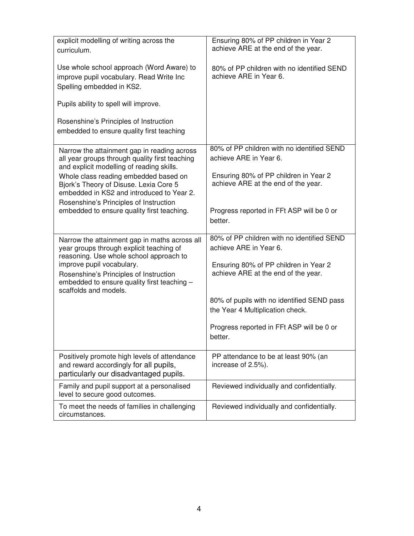| explicit modelling of writing across the<br>curriculum.                                                                                                                                | Ensuring 80% of PP children in Year 2<br>achieve ARE at the end of the year.   |
|----------------------------------------------------------------------------------------------------------------------------------------------------------------------------------------|--------------------------------------------------------------------------------|
| Use whole school approach (Word Aware) to<br>improve pupil vocabulary. Read Write Inc<br>Spelling embedded in KS2.                                                                     | 80% of PP children with no identified SEND<br>achieve ARE in Year 6.           |
| Pupils ability to spell will improve.                                                                                                                                                  |                                                                                |
| Rosenshine's Principles of Instruction<br>embedded to ensure quality first teaching                                                                                                    |                                                                                |
| Narrow the attainment gap in reading across<br>all year groups through quality first teaching<br>and explicit modelling of reading skills.                                             | 80% of PP children with no identified SEND<br>achieve ARE in Year 6.           |
| Whole class reading embedded based on<br>Bjork's Theory of Disuse. Lexia Core 5<br>embedded in KS2 and introduced to Year 2.                                                           | Ensuring 80% of PP children in Year 2<br>achieve ARE at the end of the year.   |
| Rosenshine's Principles of Instruction<br>embedded to ensure quality first teaching.                                                                                                   | Progress reported in FFt ASP will be 0 or<br>better.                           |
| Narrow the attainment gap in maths across all<br>year groups through explicit teaching of                                                                                              | 80% of PP children with no identified SEND<br>achieve ARE in Year 6.           |
| reasoning. Use whole school approach to<br>improve pupil vocabulary.<br>Rosenshine's Principles of Instruction<br>embedded to ensure quality first teaching -<br>scaffolds and models. | Ensuring 80% of PP children in Year 2<br>achieve ARE at the end of the year.   |
|                                                                                                                                                                                        | 80% of pupils with no identified SEND pass<br>the Year 4 Multiplication check. |
|                                                                                                                                                                                        | Progress reported in FFt ASP will be 0 or<br>better.                           |
| Positively promote high levels of attendance<br>and reward accordingly for all pupils,<br>particularly our disadvantaged pupils.                                                       | PP attendance to be at least 90% (an<br>increase of 2.5%).                     |
| Family and pupil support at a personalised<br>level to secure good outcomes.                                                                                                           | Reviewed individually and confidentially.                                      |
| To meet the needs of families in challenging<br>circumstances.                                                                                                                         | Reviewed individually and confidentially.                                      |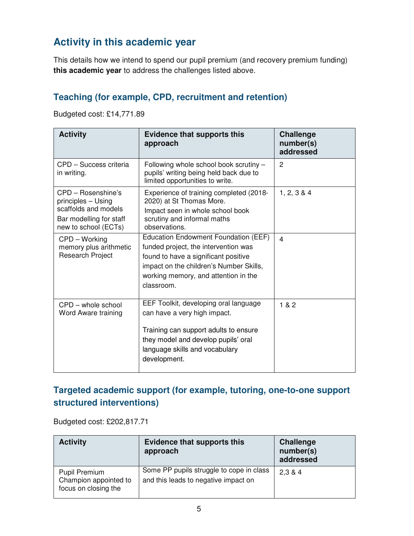## **Activity in this academic year**

This details how we intend to spend our pupil premium (and recovery premium funding) **this academic year** to address the challenges listed above.

#### **Teaching (for example, CPD, recruitment and retention)**

Budgeted cost: £14,771.89

| <b>Activity</b>                                                                                                     | <b>Evidence that supports this</b><br>approach                                                                                                                                                                        | <b>Challenge</b><br>number(s)<br>addressed |
|---------------------------------------------------------------------------------------------------------------------|-----------------------------------------------------------------------------------------------------------------------------------------------------------------------------------------------------------------------|--------------------------------------------|
| CPD - Success criteria<br>in writing.                                                                               | Following whole school book scrutiny -<br>pupils' writing being held back due to<br>limited opportunities to write.                                                                                                   | 2                                          |
| CPD - Rosenshine's<br>principles - Using<br>scaffolds and models<br>Bar modelling for staff<br>new to school (ECTs) | Experience of training completed (2018-<br>2020) at St Thomas More.<br>Impact seen in whole school book<br>scrutiny and informal maths<br>observations.                                                               | 1, 2, 3 & 4                                |
| CPD - Working<br>memory plus arithmetic<br><b>Research Project</b>                                                  | Education Endowment Foundation (EEF)<br>funded project, the intervention was<br>found to have a significant positive<br>impact on the children's Number Skills,<br>working memory, and attention in the<br>classroom. | 4                                          |
| $CPD$ – whole school<br>Word Aware training                                                                         | EEF Toolkit, developing oral language<br>can have a very high impact.<br>Training can support adults to ensure<br>they model and develop pupils' oral<br>language skills and vocabulary<br>development.               | 1 & 2                                      |

#### **Targeted academic support (for example, tutoring, one-to-one support structured interventions)**

Budgeted cost: £202,817.71

| <b>Activity</b>                                                       | <b>Evidence that supports this</b><br>approach                                   | <b>Challenge</b><br>number(s)<br>addressed |
|-----------------------------------------------------------------------|----------------------------------------------------------------------------------|--------------------------------------------|
| <b>Pupil Premium</b><br>Champion appointed to<br>focus on closing the | Some PP pupils struggle to cope in class<br>and this leads to negative impact on | 2,3 & 4                                    |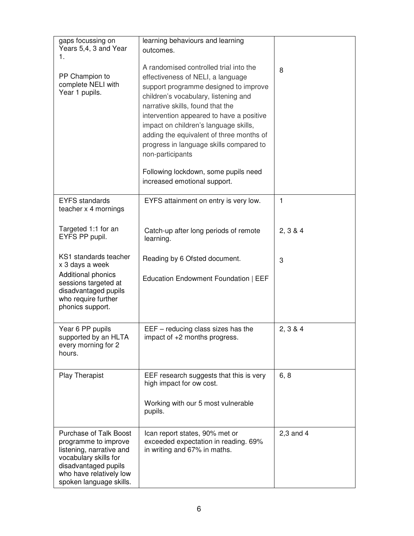| gaps focussing on<br>Years 5,4, 3 and Year<br>1.                                                                                                                                         | learning behaviours and learning<br>outcomes.                                                                                                                                                                                                                                                                                                                                                                                                                            |               |
|------------------------------------------------------------------------------------------------------------------------------------------------------------------------------------------|--------------------------------------------------------------------------------------------------------------------------------------------------------------------------------------------------------------------------------------------------------------------------------------------------------------------------------------------------------------------------------------------------------------------------------------------------------------------------|---------------|
| PP Champion to<br>complete NELI with<br>Year 1 pupils.                                                                                                                                   | A randomised controlled trial into the<br>effectiveness of NELI, a language<br>support programme designed to improve<br>children's vocabulary, listening and<br>narrative skills, found that the<br>intervention appeared to have a positive<br>impact on children's language skills,<br>adding the equivalent of three months of<br>progress in language skills compared to<br>non-participants<br>Following lockdown, some pupils need<br>increased emotional support. | 8             |
| <b>EYFS</b> standards<br>teacher x 4 mornings                                                                                                                                            | EYFS attainment on entry is very low.                                                                                                                                                                                                                                                                                                                                                                                                                                    | 1             |
| Targeted 1:1 for an<br>EYFS PP pupil.                                                                                                                                                    | Catch-up after long periods of remote<br>learning.                                                                                                                                                                                                                                                                                                                                                                                                                       | 2, 3 & 4      |
| KS1 standards teacher<br>x 3 days a week<br>Additional phonics<br>sessions targeted at<br>disadvantaged pupils<br>who require further<br>phonics support.                                | Reading by 6 Ofsted document.<br>Education Endowment Foundation   EEF                                                                                                                                                                                                                                                                                                                                                                                                    | 3             |
| Year 6 PP pupils<br>supported by an HLTA<br>every morning for 2<br>hours.                                                                                                                | EEF - reducing class sizes has the<br>impact of $+2$ months progress                                                                                                                                                                                                                                                                                                                                                                                                     | 2, 3 & 4      |
| <b>Play Therapist</b>                                                                                                                                                                    | EEF research suggests that this is very<br>high impact for ow cost.<br>Working with our 5 most vulnerable<br>pupils.                                                                                                                                                                                                                                                                                                                                                     | 6, 8          |
| <b>Purchase of Talk Boost</b><br>programme to improve<br>listening, narrative and<br>vocabulary skills for<br>disadvantaged pupils<br>who have relatively low<br>spoken language skills. | Ican report states, 90% met or<br>exceeded expectation in reading. 69%<br>in writing and 67% in maths.                                                                                                                                                                                                                                                                                                                                                                   | $2,3$ and $4$ |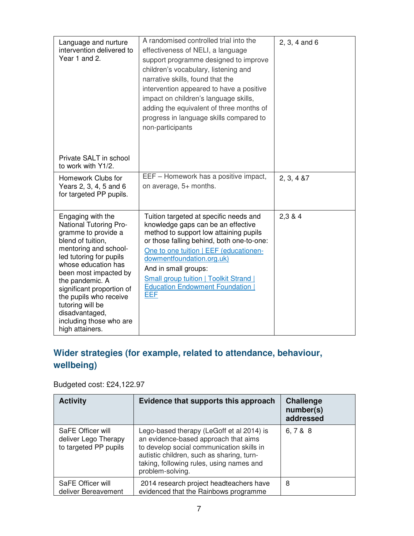| Language and nurture<br>intervention delivered to<br>Year 1 and 2.                                                                                                                                                                                                                                                                                               | A randomised controlled trial into the<br>effectiveness of NELI, a language<br>support programme designed to improve<br>children's vocabulary, listening and<br>narrative skills, found that the<br>intervention appeared to have a positive<br>impact on children's language skills,<br>adding the equivalent of three months of<br>progress in language skills compared to<br>non-participants | $2, 3, 4$ and 6 |
|------------------------------------------------------------------------------------------------------------------------------------------------------------------------------------------------------------------------------------------------------------------------------------------------------------------------------------------------------------------|--------------------------------------------------------------------------------------------------------------------------------------------------------------------------------------------------------------------------------------------------------------------------------------------------------------------------------------------------------------------------------------------------|-----------------|
| Private SALT in school<br>to work with Y1/2.                                                                                                                                                                                                                                                                                                                     |                                                                                                                                                                                                                                                                                                                                                                                                  |                 |
| Homework Clubs for<br>Years 2, 3, 4, 5 and 6<br>for targeted PP pupils.                                                                                                                                                                                                                                                                                          | EEF - Homework has a positive impact,<br>on average, 5+ months.                                                                                                                                                                                                                                                                                                                                  | 2, 3, 4, 87     |
| Engaging with the<br><b>National Tutoring Pro-</b><br>gramme to provide a<br>blend of tuition,<br>mentoring and school-<br>led tutoring for pupils<br>whose education has<br>been most impacted by<br>the pandemic. A<br>significant proportion of<br>the pupils who receive<br>tutoring will be<br>disadvantaged,<br>including those who are<br>high attainers. | Tuition targeted at specific needs and<br>knowledge gaps can be an effective<br>method to support low attaining pupils<br>or those falling behind, both one-to-one:<br>One to one tuition   EEF (educationen-<br>dowmentfoundation.org.uk)<br>And in small groups:<br><b>Small group tuition   Toolkit Strand  </b><br><b>Education Endowment Foundation</b><br><b>EEF</b>                       | 2,3 & 4         |

## **Wider strategies (for example, related to attendance, behaviour, wellbeing)**

Budgeted cost: £24,122.97

| <b>Activity</b>                                                    | Evidence that supports this approach                                                                                                                                                                                                        | <b>Challenge</b><br>number(s)<br>addressed |
|--------------------------------------------------------------------|---------------------------------------------------------------------------------------------------------------------------------------------------------------------------------------------------------------------------------------------|--------------------------------------------|
| SaFE Officer will<br>deliver Lego Therapy<br>to targeted PP pupils | Lego-based therapy (LeGoff et al 2014) is<br>an evidence-based approach that aims<br>to develop social communication skills in<br>autistic children, such as sharing, turn-<br>taking, following rules, using names and<br>problem-solving. | 6, 7 & 8 & 8                               |
| SaFE Officer will<br>deliver Bereavement                           | 2014 research project headteachers have<br>evidenced that the Rainbows programme                                                                                                                                                            | 8                                          |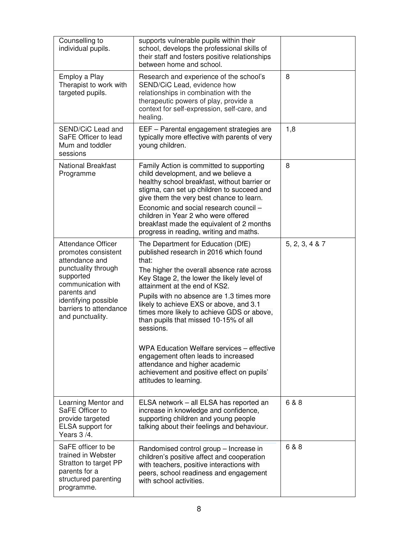| Counselling to<br>individual pupils.<br>Employ a Play<br>Therapist to work with<br>targeted pupils.                                                                                                               | supports vulnerable pupils within their<br>school, develops the professional skills of<br>their staff and fosters positive relationships<br>between home and school.<br>Research and experience of the school's<br>SEND/CiC Lead, evidence how<br>relationships in combination with the<br>therapeutic powers of play, provide a<br>context for self-expression, self-care, and                                                                                                                                                                                                                               | 8              |
|-------------------------------------------------------------------------------------------------------------------------------------------------------------------------------------------------------------------|---------------------------------------------------------------------------------------------------------------------------------------------------------------------------------------------------------------------------------------------------------------------------------------------------------------------------------------------------------------------------------------------------------------------------------------------------------------------------------------------------------------------------------------------------------------------------------------------------------------|----------------|
| SEND/CiC Lead and<br>SaFE Officer to lead<br>Mum and toddler<br>sessions                                                                                                                                          | healing.<br>EEF - Parental engagement strategies are<br>typically more effective with parents of very<br>young children.                                                                                                                                                                                                                                                                                                                                                                                                                                                                                      | 1,8            |
| <b>National Breakfast</b><br>Programme                                                                                                                                                                            | Family Action is committed to supporting<br>child development, and we believe a<br>healthy school breakfast, without barrier or<br>stigma, can set up children to succeed and<br>give them the very best chance to learn.<br>Economic and social research council -<br>children in Year 2 who were offered<br>breakfast made the equivalent of 2 months<br>progress in reading, writing and maths.                                                                                                                                                                                                            | 8              |
| <b>Attendance Officer</b><br>promotes consistent<br>attendance and<br>punctuality through<br>supported<br>communication with<br>parents and<br>identifying possible<br>barriers to attendance<br>and punctuality. | The Department for Education (DfE)<br>published research in 2016 which found<br>that:<br>The higher the overall absence rate across<br>Key Stage 2, the lower the likely level of<br>attainment at the end of KS2.<br>Pupils with no absence are 1.3 times more<br>likely to achieve EXS or above, and 3.1<br>times more likely to achieve GDS or above,<br>than pupils that missed 10-15% of all<br>sessions.<br>WPA Education Welfare services – effective<br>engagement often leads to increased<br>attendance and higher academic<br>achievement and positive effect on pupils'<br>attitudes to learning. | 5, 2, 3, 4 & 7 |
| Learning Mentor and<br>SaFE Officer to<br>provide targeted<br>ELSA support for<br>Years 3/4.                                                                                                                      | ELSA network - all ELSA has reported an<br>increase in knowledge and confidence,<br>supporting children and young people<br>talking about their feelings and behaviour.                                                                                                                                                                                                                                                                                                                                                                                                                                       | 6 & 8          |
| SaFE officer to be<br>trained in Webster<br>Stratton to target PP<br>parents for a<br>structured parenting<br>programme.                                                                                          | Randomised control group - Increase in<br>children's positive affect and cooperation<br>with teachers, positive interactions with<br>peers, school readiness and engagement<br>with school activities.                                                                                                                                                                                                                                                                                                                                                                                                        | 6 & 8          |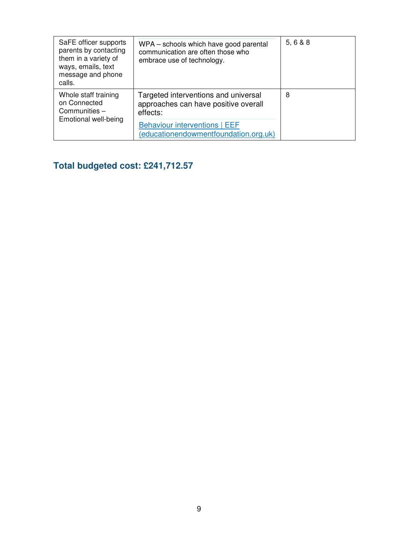| SaFE officer supports<br>parents by contacting<br>them in a variety of<br>ways, emails, text<br>message and phone<br>calls. | WPA – schools which have good parental<br>communication are often those who<br>embrace use of technology. | 5, 6 & 8 |
|-----------------------------------------------------------------------------------------------------------------------------|-----------------------------------------------------------------------------------------------------------|----------|
| Whole staff training<br>on Connected<br>Communities -<br>Emotional well-being                                               | Targeted interventions and universal<br>approaches can have positive overall<br>effects:                  | 8        |
|                                                                                                                             | <b>Behaviour interventions   EEF</b><br>(educationendowmentfoundation.org.uk)                             |          |

# **Total budgeted cost: £241,712.57**